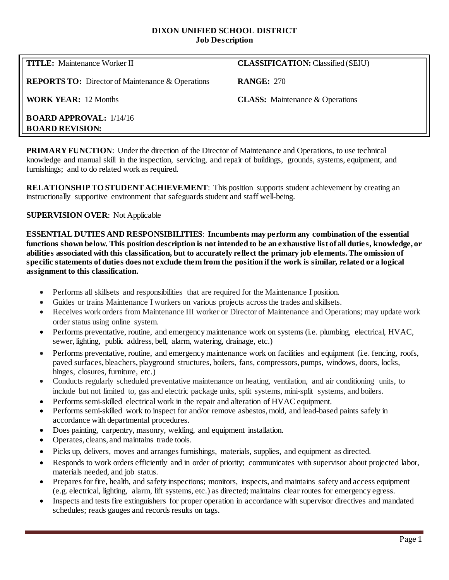#### **DIXON UNIFIED SCHOOL DISTRICT Job Description**

**TITLE:** Maintenance Worker II **CLASSIFICATION: Classified (SEIU)** 

**REPORTS TO:** Director of Maintenance & Operations **RANGE:** 270

**WORK YEAR:** 12 Months **CLASS:** Maintenance & Operations

**BOARD APPROVAL:** 1/14/16 **BOARD REVISION:**

**PRIMARY FUNCTION:** Under the direction of the Director of Maintenance and Operations, to use technical knowledge and manual skill in the inspection, servicing, and repair of buildings, grounds, systems, equipment, and furnishings; and to do related work as required.

**RELATIONSHIP TO STUDENT ACHIEVEMENT**: This position supports student achievement by creating an instructionally supportive environment that safeguards student and staff well-being.

# **SUPERVISION OVER**: Not Applicable

**ESSENTIAL DUTIES AND RESPONSIBILITIES**: **Incumbents may perform any combination of the essential functions shown below. This position description is not intended to be an exhaustive list of all duties, knowledge, or abilities associated with this classification, but to accurately reflect the primary job elements. The omission of specific statements of duties does not exclude them from the position if the work is similar, related or a logical assignment to this classification.**

- Performs all skillsets and responsibilities that are required for the Maintenance I position.
- Guides or trains Maintenance I workers on various projects across the trades and skillsets.
- Receives work orders from Maintenance III worker or Director of Maintenance and Operations; may update work order status using online system.
- Performs preventative, routine, and emergency maintenance work on systems (i.e. plumbing, electrical, HVAC, sewer, lighting, public address, bell, alarm, watering, drainage, etc.)
- Performs preventative, routine, and emergency maintenance work on facilities and equipment (i.e. fencing, roofs, paved surfaces, bleachers, playground structures, boilers, fans, compressors, pumps, windows, doors, locks, hinges, closures, furniture, etc.)
- Conducts regularly scheduled preventative maintenance on heating, ventilation, and air conditioning units, to include but not limited to, gas and electric package units, split systems, mini-split systems, and boilers.
- Performs semi-skilled electrical work in the repair and alteration of HVAC equipment.
- Performs semi-skilled work to inspect for and/or remove asbestos, mold, and lead-based paints safely in accordance with departmental procedures.
- Does painting, carpentry, masonry, welding, and equipment installation.
- Operates, cleans, and maintains trade tools.
- Picks up, delivers, moves and arranges furnishings, materials, supplies, and equipment as directed.
- Responds to work orders efficiently and in order of priority; communicates with supervisor about projected labor, materials needed, and job status.
- Prepares for fire, health, and safety inspections; monitors, inspects, and maintains safety and access equipment (e.g. electrical, lighting, alarm, lift systems, etc.) as directed; maintains clear routes for emergency egress.
- Inspects and tests fire extinguishers for proper operation in accordance with supervisor directives and mandated schedules; reads gauges and records results on tags.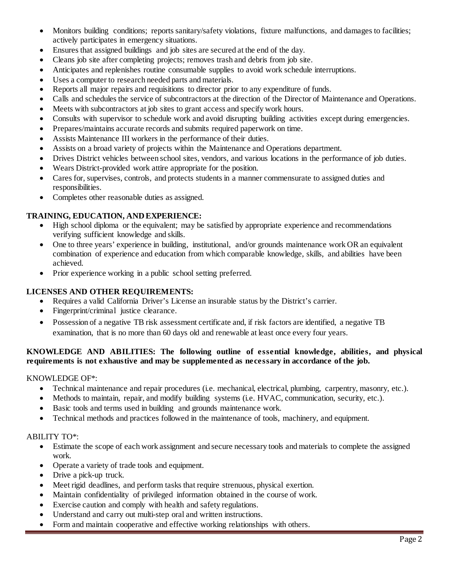- Monitors building conditions; reports sanitary/safety violations, fixture malfunctions, and damages to facilities; actively participates in emergency situations.
- Ensures that assigned buildings and job sites are secured at the end of the day.
- Cleans job site after completing projects; removes trash and debris from job site.
- Anticipates and replenishes routine consumable supplies to avoid work schedule interruptions.
- Uses a computer to research needed parts and materials.
- Reports all major repairs and requisitions to director prior to any expenditure of funds.
- Calls and schedules the service of subcontractors at the direction of the Director of Maintenance and Operations.
- Meets with subcontractors at job sites to grant access and specify work hours.
- Consults with supervisor to schedule work and avoid disrupting building activities except during emergencies.
- Prepares/maintains accurate records and submits required paperwork on time.
- Assists Maintenance III workers in the performance of their duties.
- Assists on a broad variety of projects within the Maintenance and Operations department.
- Drives District vehicles between school sites, vendors, and various locations in the performance of job duties.
- Wears District-provided work attire appropriate for the position.
- Cares for, supervises, controls, and protects students in a manner commensurate to assigned duties and responsibilities.
- Completes other reasonable duties as assigned.

## **TRAINING, EDUCATION, AND EXPERIENCE:**

- High school diploma or the equivalent; may be satisfied by appropriate experience and recommendations verifying sufficient knowledge and skills.
- One to three years' experience in building, institutional, and/or grounds maintenance work OR an equivalent combination of experience and education from which comparable knowledge, skills, and abilities have been achieved.
- Prior experience working in a public school setting preferred.

# **LICENSES AND OTHER REQUIREMENTS:**

- Requires a valid California Driver's License an insurable status by the District's carrier.
- Fingerprint/criminal justice clearance.
- Possession of a negative TB risk assessment certificate and, if risk factors are identified, a negative TB examination, that is no more than 60 days old and renewable at least once every four years.

## **KNOWLEDGE AND ABILITIES: The following outline of essential knowledge, abilities, and physical requirements is not exhaustive and may be supplemented as necessary in accordance of the job.**

#### KNOWLEDGE OF\*:

- Technical maintenance and repair procedures (i.e. mechanical, electrical, plumbing, carpentry, masonry, etc.).
- Methods to maintain, repair, and modify building systems (i.e. HVAC, communication, security, etc.).
- Basic tools and terms used in building and grounds maintenance work.
- Technical methods and practices followed in the maintenance of tools, machinery, and equipment.

#### ABILITY TO\*:

- Estimate the scope of each work assignment and secure necessary tools and materials to complete the assigned work.
- Operate a variety of trade tools and equipment.
- Drive a pick-up truck.
- Meet rigid deadlines, and perform tasks that require strenuous, physical exertion.
- Maintain confidentiality of privileged information obtained in the course of work.
- Exercise caution and comply with health and safety regulations.
- Understand and carry out multi-step oral and written instructions.
- Form and maintain cooperative and effective working relationships with others.